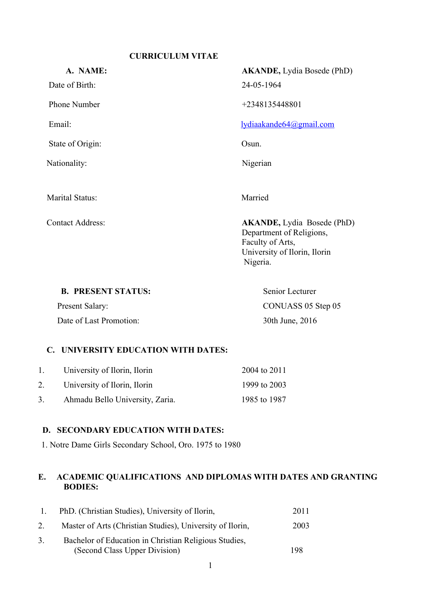## **CURRICULUM VITAE**

| A. NAME:                | <b>AKANDE</b> , Lydia Bosede (PhD)                                                                                             |
|-------------------------|--------------------------------------------------------------------------------------------------------------------------------|
| Date of Birth:          | 24-05-1964                                                                                                                     |
| Phone Number            | +2348135448801                                                                                                                 |
| Email:                  | lydiaakande64@gmail.com                                                                                                        |
| State of Origin:        | Osun.                                                                                                                          |
| Nationality:            | Nigerian                                                                                                                       |
|                         |                                                                                                                                |
| <b>Marital Status:</b>  | Married                                                                                                                        |
| <b>Contact Address:</b> | <b>AKANDE</b> , Lydia Bosede (PhD)<br>Department of Religions,<br>Faculty of Arts,<br>University of Ilorin, Ilorin<br>Nigeria. |
|                         |                                                                                                                                |

**B. PRESENT STATUS:** Senior Lecturer

Date of Last Promotion: 30th June, 2016

Present Salary: CONUASS 05 Step 05

## **C. UNIVERSITY EDUCATION WITH DATES:**

| 1. | University of Ilorin, Ilorin    | 2004 to 2011 |
|----|---------------------------------|--------------|
| 2. | University of Ilorin, Ilorin    | 1999 to 2003 |
| 3. | Ahmadu Bello University, Zaria. | 1985 to 1987 |

## **D. SECONDARY EDUCATION WITH DATES:**

1. Notre Dame Girls Secondary School, Oro. 1975 to 1980

## **E. ACADEMIC QUALIFICATIONS AND DIPLOMAS WITH DATES AND GRANTING BODIES:**

| PhD. (Christian Studies), University of Ilorin,                                        | 2011 |  |
|----------------------------------------------------------------------------------------|------|--|
| Master of Arts (Christian Studies), University of Ilorin,                              | 2003 |  |
| Bachelor of Education in Christian Religious Studies,<br>(Second Class Upper Division) | 198  |  |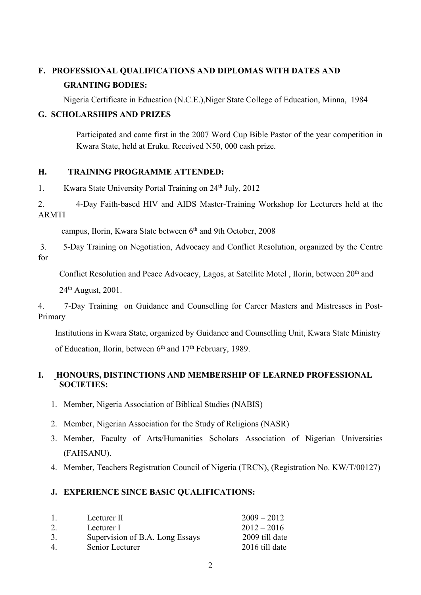# **F. PROFESSIONAL QUALIFICATIONS AND DIPLOMAS WITH DATES AND GRANTING BODIES:**

Nigeria Certificate in Education (N.C.E.),Niger State College of Education, Minna, 1984

## **G. SCHOLARSHIPS AND PRIZES**

Participated and came first in the 2007 Word Cup Bible Pastor of the year competition in Kwara State, held at Eruku. Received N50, 000 cash prize.

## **H. TRAINING PROGRAMME ATTENDED:**

1. Kwara State University Portal Training on 24<sup>th</sup> July, 2012

2. 4-Day Faith-based HIV and AIDS Master-Training Workshop for Lecturers held at the ARMTI

campus, Ilorin, Kwara State between 6 th and 9th October, 2008

3. 5-Day Training on Negotiation, Advocacy and Conflict Resolution, organized by the Centre for

Conflict Resolution and Peace Advocacy, Lagos, at Satellite Motel, Ilorin, between 20<sup>th</sup> and

24 th August, 2001.

4. 7-Day Training on Guidance and Counselling for Career Masters and Mistresses in Post- Primary

Institutions in Kwara State, organized by Guidance and Counselling Unit, Kwara State Ministry

of Education, Ilorin, between 6<sup>th</sup> and 17<sup>th</sup> February, 1989.

## **I. HONOURS, DISTINCTIONS AND MEMBERSHIP OF LEARNED PROFESSIONAL SOCIETIES:**

- 1. Member, Nigeria Association of Biblical Studies (NABIS)
- 2. Member, Nigerian Association for the Study of Religions (NASR)
- 3. Member, Faculty of Arts/Humanities Scholars Association of Nigerian Universities (FAHSANU).
- 4. Member, Teachers Registration Council of Nigeria (TRCN), (Registration No. KW/T/00127)

## **J. EXPERIENCE SINCE BASIC QUALIFICATIONS:**

| $\mathbf{I}$   | Lecturer II                     | $2009 - 2012$  |
|----------------|---------------------------------|----------------|
|                | Lecturer I                      | $2012 - 2016$  |
| 3.             | Supervision of B.A. Long Essays | 2009 till date |
| 4 <sub>1</sub> | Senior Lecturer                 | 2016 till date |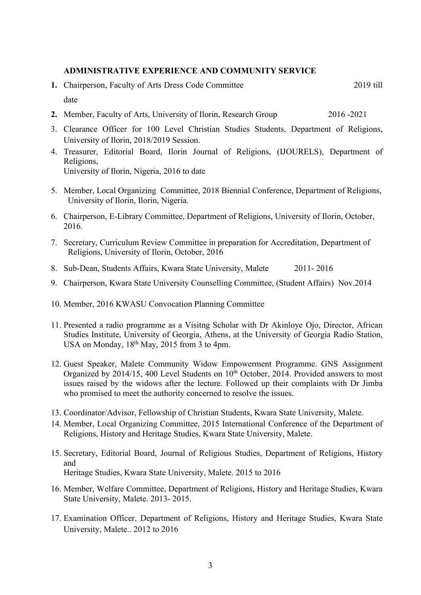### **ADMINISTRATIVE EXPERIENCE AND COMMUNITY SERVICE**

- **1.** Chairperson, Faculty of Arts Dress Code Committee 2019 till date
- **2.** Member, Faculty of Arts, University of Ilorin, Research Group 2016 -2021
- 3. Clearance Officer for 100 Level Christian Studies Students, Department of Religions, University of Ilorin, 2018/2019 Session.
- 4. Treasurer, Editorial Board, Ilorin Journal of Religions, (IJOURELS), Department of Religions, University of Ilorin, Nigeria, 2016 to date
- 5. Member, Local Organizing Committee, 2018 Biennial Conference, Department of Religions, University of Ilorin, Ilorin, Nigeria.
- 6. Chairperson, E-Library Committee, Department of Religions, University of Ilorin, October, 2016.
- 7. Secretary, Curriculum Review Committee in preparation for Accreditation, Department of Religions, University of Ilorin, October, 2016
- 8. Sub-Dean, Students Affairs, Kwara State University, Malete 2011- 2016
- 9. Chairperson, Kwara State University Counselling Committee, (Student Affairs) Nov.2014
- 10. Member, 2016 KWASU Convocation Planning Committee
- 11. Presented a radio programme as a Visitng Scholar with Dr Akinloye Ojo, Director, African Studies Institute, University of Georgia, Athens, at the University of Georgia Radio Station, USA on Monday, 18<sup>th</sup> May, 2015 from 3 to 4pm.
- 12. Guest Speaker, Malete Community Widow Empowerment Programme. GNS Assignment Organized by 2014/15, 400 Level Students on 10<sup>th</sup> October, 2014. Provided answers to most issues raised by the widows after the lecture. Followed up their complaints with Dr Jimba who promised to meet the authority concerned to resolve the issues.
- 13. Coordinator/Advisor, Fellowship of Christian Students, Kwara State University, Malete.
- 14. Member, Local Organizing Committee, 2015 International Conference of the Department of Religions, History and Heritage Studies, Kwara State University, Malete.
- 15. Secretary, Editorial Board, Journal of Religious Studies, Department of Religions, History and Heritage Studies, Kwara State University, Malete. 2015 to 2016
- 16. Member, Welfare Committee, Department of Religions, History and Heritage Studies, Kwara State University, Malete. 2013- 2015.
- 17. Examination Officer, Department of Religions, History and Heritage Studies, Kwara State University, Malete.. 2012 to 2016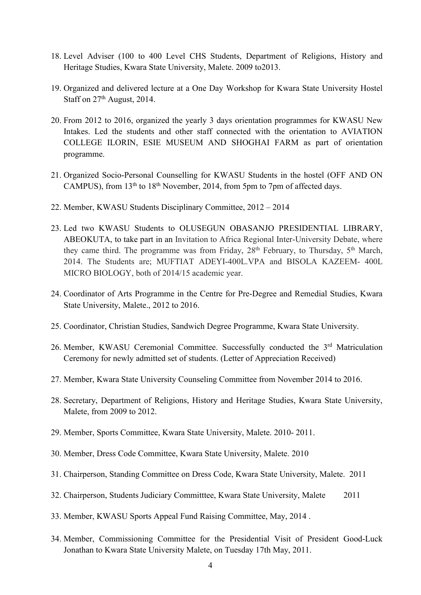- 18. Level Adviser (100 to 400 Level CHS Students, Department of Religions, History and Heritage Studies, Kwara State University, Malete. 2009 to2013.
- 19. Organized and delivered lecture at a One Day Workshop for Kwara State University Hostel Staff on 27<sup>th</sup> August, 2014.
- 20. From 2012 to 2016, organized the yearly 3 days orientation programmes for KWASU New Intakes. Led the students and other staff connected with the orientation to AVIATION COLLEGE ILORIN, ESIE MUSEUM AND SHOGHAI FARM as part of orientation programme.
- 21. Organized Socio-Personal Counselling for KWASU Students in the hostel (OFF AND ON CAMPUS), from 13<sup>th</sup> to 18<sup>th</sup> November, 2014, from 5pm to 7pm of affected days.<br>22. Member, KWASU Students Disciplinary Committee, 2012 – 2014
- 
- 23. Led two KWASU Students to OLUSEGUN OBASANJO PRESIDENTIAL LIBRARY, ABEOKUTA, to take part in an Invitation to Africa Regional Inter-University Debate, where they came third. The programme was from Friday, 28<sup>th</sup> February, to Thursday, 5<sup>th</sup> March, 2014. The Students are; MUFTIAT ADEYI-400L.VPA and BISOLA KAZEEM- 400L MICRO BIOLOGY, both of 2014/15 academic year.
- 24. Coordinator of Arts Programme in the Centre for Pre-Degree and Remedial Studies, Kwara State University, Malete., 2012 to 2016.
- 25. Coordinator, Christian Studies, Sandwich Degree Programme, Kwara State University.
- 26. Member, KWASU Ceremonial Committee. Successfully conducted the 3<sup>rd</sup> Matriculation Ceremony for newly admitted set of students. (Letter of Appreciation Received)
- 27. Member, Kwara State University Counseling Committee from November 2014 to 2016.
- 28. Secretary, Department of Religions, History and Heritage Studies, Kwara State University, Malete, from 2009 to 2012.
- 29. Member, Sports Committee, Kwara State University, Malete. 2010- 2011.
- 30. Member, Dress Code Committee, Kwara State University, Malete. 2010
- 31. Chairperson, Standing Committee on Dress Code,Kwara State University, Malete. 2011
- 32. Chairperson, Students Judiciary Committtee, Kwara State University, Malete 2011
- 33. Member, KWASU Sports Appeal Fund Raising Committee, May, 2014 .
- 34. Member, Commissioning Committee for the Presidential Visit of President Good-Luck Jonathan to Kwara State University Malete, on Tuesday 17th May, 2011.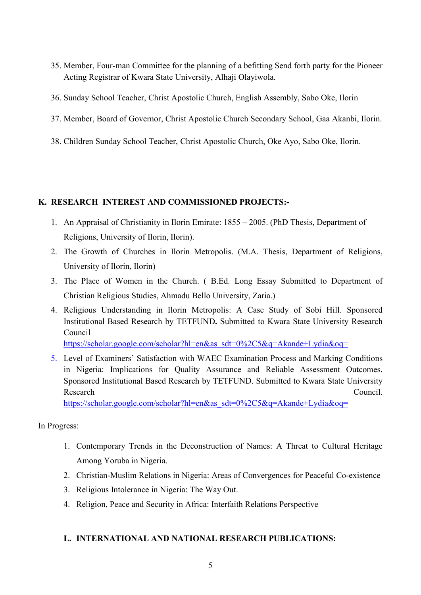- 35. Member, Four-man Committee for the planning of a befitting Send forth party for the Pioneer Acting Registrar of Kwara State University, Alhaji Olayiwola.
- 36. Sunday School Teacher, Christ Apostolic Church, English Assembly, Sabo Oke, Ilorin
- 37. Member, Board of Governor, Christ Apostolic Church Secondary School, Gaa Akanbi, Ilorin.
- 38. Children Sunday School Teacher, Christ Apostolic Church, Oke Ayo, Sabo Oke, Ilorin.

## **K. RESEARCH INTEREST AND COMMISSIONED PROJECTS:-**

- 1. An Appraisal of Christianity in Ilorin Emirate: 1855 2005. (PhD Thesis, Department of Religions, University of Ilorin, Ilorin).
- 2. The Growth of Churches in Ilorin Metropolis. (M.A. Thesis, Department of Religions, University of Ilorin, Ilorin)
- 3. The Place of Women in the Church. ( B.Ed. Long Essay Submitted to Department of Christian Religious Studies, Ahmadu Bello University, Zaria.)
- 4. Religious Understanding in Ilorin Metropolis: A Case Study of Sobi Hill. Sponsored Institutional Based Research by TETFUND**.** Submitted to Kwara State University Research Council

[https://scholar.google.com/scholar?hl=en&as\\_sdt=0%2C5&q=Akande+Lydia&oq=](https://scholar.google.com/scholar?hl=en&as_sdt=0%2C5&q=Akande+Lydia&oq=)

5. Level of Examiners' Satisfaction with WAEC Examination Process and Marking Conditions in Nigeria: Implications for Quality Assurance and Reliable Assessment Outcomes. Sponsored Institutional Based Research by TETFUND. Submitted to Kwara State University Research Council.

[https://scholar.google.com/scholar?hl=en&as\\_sdt=0%2C5&q=Akande+Lydia&oq=](https://scholar.google.com/scholar?hl=en&as_sdt=0%2C5&q=Akande+Lydia&oq=)

## In Progress:

- 1. Contemporary Trends in the Deconstruction of Names: A Threat to Cultural Heritage Among Yoruba in Nigeria.
- 2. Christian-Muslim Relations in Nigeria: Areas of Convergences for Peaceful Co-existence
- 3. Religious Intolerance in Nigeria: The Way Out.
- 4. Religion, Peace and Security in Africa: Interfaith Relations Perspective

## **L. INTERNATIONAL AND NATIONAL RESEARCH PUBLICATIONS:**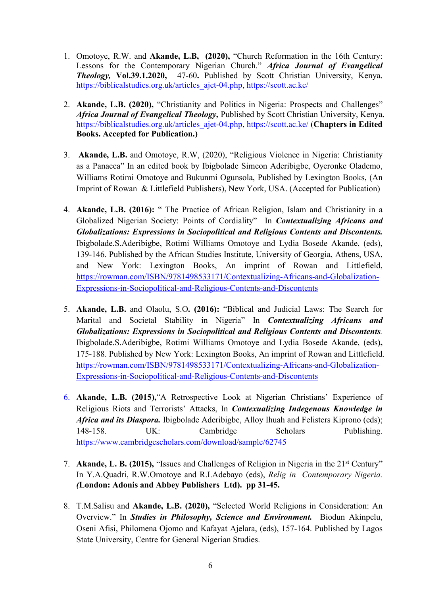- 1. Omotoye, R.W. and **Akande, L.B, (2020),** "Church Reformation in the 16th Century: Lessons for the Contemporary Nigerian Church." *Africa Journal of Evangelical Theology,* **Vol.39.1.2020,** 47-60**.** Published by Scott Christian University, Kenya. [https://biblicalstudies.org.uk/articles\\_ajet-04.php,](https://biblicalstudies.org.uk/articles_ajet-04.php) <https://scott.ac.ke/>
- 2. **Akande, L.B. (2020),** "Christianity and Politics in Nigeria: Prospects and Challenges" *Africa Journal of Evangelical Theology, Published by Scott Christian University, Kenya.* [https://biblicalstudies.org.uk/articles\\_ajet-04.php,](https://biblicalstudies.org.uk/articles_ajet-04.php) <https://scott.ac.ke/> (**Chapters in Edited Books. Accepted for Publication.)**
- 3. **Akande, L.B.** and Omotoye, R.W, (2020), "Religious Violence in Nigeria: Christianity as a Panacea" In an edited book by Ibigbolade Simeon Aderibigbe, Oyeronke Olademo, Williams Rotimi Omotoye and Bukunmi Ogunsola, Published by Lexington Books, (An Imprint of Rowan & Littlefield Publishers), New York, USA. (Accepted for Publication)
- 4. **Akande, L.B. (2016):** " The Practice of African Religion, Islam and Christianity in a Globalized Nigerian Society: Points of Cordiality" In *Contextualizing Africans and Globalizations: Expressions in Sociopolitical and Religious Contents and Discontents.* Ibigbolade.S.Aderibigbe, Rotimi Williams Omotoye and Lydia Bosede Akande, (eds), 139-146. Published by the African Studies Institute, University of Georgia, Athens, USA, and New York: Lexington Books, An imprint of Rowan and Littlefield, [https://rowman.com/ISBN/9781498533171/Contextualizing-Africans-and-Globalization-](https://rowman.com/ISBN/9781498533171/Contextualizing-Africans-and-Globalization-Expressions-in-Sociopolitical-and-Religious-Contents-and-Discontents) Expressions-in-Sociopolitical-and-Religious-Contents-and-Discontents
- 5. **Akande, L.B.** and Olaolu, S.O**. (2016):** "Biblical and Judicial Laws: The Search for Marital and Societal Stability in Nigeria" In *Contextualizing Africans and Globalizations: Expressions in Sociopolitical and Religious Contents and Discontents.* Ibigbolade.S.Aderibigbe, Rotimi Williams Omotoye and Lydia Bosede Akande, (eds**),** 175-188. Published by New York: Lexington Books, An imprint of Rowan and Littlefield. [https://rowman.com/ISBN/9781498533171/Contextualizing-Africans-and-Globalization-](https://rowman.com/ISBN/9781498533171/Contextualizing-Africans-and-Globalization-Expressions-in-Sociopolitical-and-Religious-Contents-and-Discontents) Expressions-in-Sociopolitical-and-Religious-Contents-and-Discontents
- 6. **Akande, L.B. (2015),**"A Retrospective Look at Nigerian Christians' Experience of Religious Riots and Terrorists' Attacks, In *Contexualizing Indegenous Knowledge in Africa and its Diaspora.* Ibigbolade Aderibigbe, Alloy Ihuah and Felisters Kiprono (eds); 148-158. UK: Cambridge Scholars Publishing. <https://www.cambridgescholars.com/download/sample/62745>
- 7. Akande, L. B. (2015), "Issues and Challenges of Religion in Nigeria in the 21<sup>st</sup> Century" In Y.A.Quadri, R.W.Omotoye and R.I.Adebayo (eds), *Relig in Contemporary Nigeria.(***London: Adonis and Abbey Publishers Ltd).pp 31-45.**
- 8. T.M.Salisu and **Akande, L.B. (2020),** "Selected World Religions in Consideration: An Overview." In *Studies in Philosophy, Science and Environment.* Biodun Akinpelu, Oseni Afisi, Philomena Ojomo and Kafayat Ajelara, (eds), 157-164. Published by Lagos State University, Centre for General Nigerian Studies.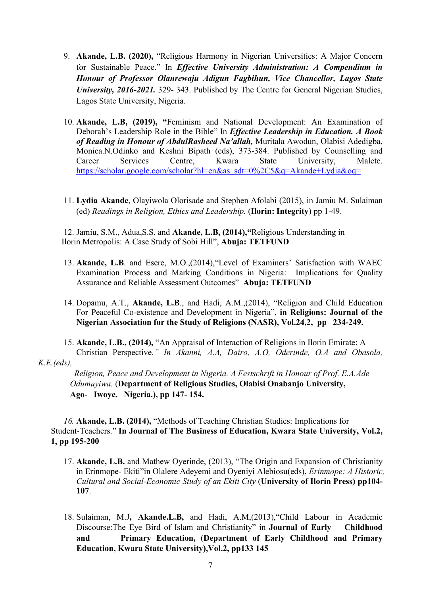- 9. **Akande, L.B. (2020),** "Religious Harmony in Nigerian Universities: A Major Concern for Sustainable Peace." In *Effective University Administration: A Compendium in Honour of Professor Olanrewaju Adigun Fagbihun, Vice Chancellor, Lagos State University, 2016-2021.* 329- 343. Published by The Centre for General Nigerian Studies, Lagos State University, Nigeria.
- 10. **Akande, L.B, (2019), "**Feminism and National Development: An Examination of Deborah's Leadership Role in the Bible" In *Ef ective Leadership in Education. A Book of Reading in Honour of AbdulRasheed Na'allah, Muritala Awodun, Olabisi Adedigba,* Monica.N.Odinko and Keshni Bipath (eds), 373-384. Published by Counselling and Career Services Centre, Kwara State University, Malete. [https://scholar.google.com/scholar?hl=en&as\\_sdt=0%2C5&q=Akande+Lydia&oq=](https://scholar.google.com/scholar?hl=en&as_sdt=0%2C5&q=Akande+Lydia&oq=)
- 11. **Lydia Akande**, Olayiwola Olorisade and Stephen Afolabi (2015), in Jamiu M. Sulaiman (ed) *Readings in Religion, Ethics and Leadership.* (**Ilorin: Integrity**) pp 1-49.

12. Jamiu, S.M., Adua,S.S, and **Akande, L.B, (2014),"**Religious Understanding in Ilorin Metropolis: A Case Study of Sobi Hill", **Abuja: TETFUND**

- 13. **Akande, L.B**. and Esere, M.O.,(2014),"Level of Examiners' Satisfaction with WAEC Examination Process and Marking Conditions in Nigeria: Implications for Quality Assurance and Reliable Assessment Outcomes" **Abuja: TETFUND**
- 14. Dopamu, A.T., **Akande, L.B**., and Hadi, A.M.,(2014), "Religion and Child Education For Peaceful Co-existence and Development in Nigeria", **in Religions: Journal of the Nigerian Association for the Study of Religions (NASR), Vol.24,2, pp 234-249.**
- 15. **Akande, L.B., (2014),** "An Appraisal of Interaction of Religions in Ilorin Emirate: A Christian Perspective." In Akanni, A.A, Dairo, A.O, Oderinde, O.A and Obasola,

#### *K.E.(eds),*

*Religion, Peace and Development in Nigeria. A Festschrift in Honour of Prof. E.A.Ade Odumuyiwa.* (**Department of Religious Studies, Olabisi Onabanjo University, Ago- Iwoye, Nigeria.), pp 147- 154.**

16. **Akande, L.B. (2014),** "Methods of Teaching Christian Studies: Implications for Student-Teachers." **In Journal of The Business ofEducation, Kwara State University, Vol.2, 1, pp 195-200**

- 17. **Akande, L.B.** and Mathew Oyerinde, (2013), "The Origin and Expansion of Christianity in Erinmope- Ekiti"in Olalere Adeyemi and Oyeniyi Alebiosu(eds), *Erinmope: A Historic, Cultural and Social-Economic Study of an Ekiti City* (**University of Ilorin Press) pp104- 107**.
- 18. Sulaiman, M.J**, Akande.L.B,** and Hadi, A.M,(2013),"Child Labour in Academic Discourse:The Eye Bird of Islam and Christianity" in **Journal of Early Childhood and Primary Education,** (**Department of Early Childhood and Primary Education, Kwara State University),Vol.2, pp133 145**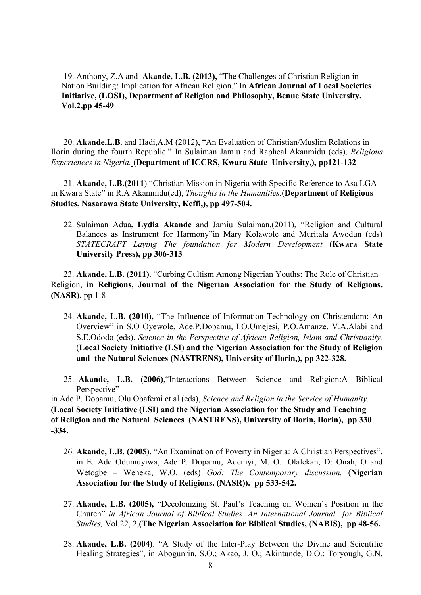19. Anthony, Z.A and **Akande, L.B. (2013),** "The Challenges of Christian Religion in Nation Building: Implication for African Religion." In **African Journal of Local Societies Initiative, (LOSI), Department of Religion and Philosophy, Benue State University. Vol.2,pp 45-49**

20. **Akande,L.B.** and Hadi,A.M (2012), "An Evaluation of Christian/Muslim Relations in Ilorin during the fourth Republic." In Sulaiman Jamiu and Rapheal Akanmidu (eds), *Religious Experiences in Nigeria.* (**Department of ICCRS, Kwara State University,), pp121-132**

21. **Akande, L.B.(2011**) "Christian Mission in Nigeria with Specific Reference to Asa LGA in Kwara State" in R.A Akanmidu(ed), *Thoughts in the Humanities.*(**Department of Religious Studies, Nasarawa State University, Keffi,), pp 497-504.**

22. Sulaiman Adua**, Lydia Akande** and Jamiu Sulaiman.(2011), "Religion and Cultural Balances as Instrument for Harmony"in Mary Kolawole and Muritala Awodun (eds) *STATECRAFT Laying The foundation for Modern Development* (**Kwara State University Press), pp 306-313**

23. **Akande, L.B. (2011).** "Curbing Cultism Among Nigerian Youths: The Role of Christian Religion, **in Religions, Journal of the Nigerian Association for the Study of Religions. (NASR),** pp 1-8

- 24. **Akande, L.B. (2010),** "The Influence of Information Technology on Christendom: An Overview" in S.O Oyewole, Ade.P.Dopamu, I.O.Umejesi, P.O.Amanze, V.A.Alabi and S.E.Ododo (eds). *Science in the Perspective of African Religion, Islam and Christianity.* (**Local Society Initiative (LSI) and the Nigerian Association for the Study of Religion and the Natural Sciences (NASTRENS), University of Ilorin,), pp 322-328.**
- 25. **Akande, L.B. (2006)**,"Interactions Between Science and Religion:A Biblical Perspective"

in Ade P. Dopamu, Olu Obafemi et al (eds), *Science and Religion in the Service of Humanity.* **(Local Society Initiative (LSI) and the Nigerian Association for the Study and Teaching of Religion and the Natural Sciences (NASTRENS), University of Ilorin, Ilorin), pp 330 -334.**

- 26. **Akande, L.B. (2005).** "An Examination of Poverty in Nigeria: A Christian Perspectives", in E. Ade Odumuyiwa, Ade P. Dopamu, Adeniyi, M. O.: Olalekan, D: Onah, O and Wetogbe – Weneka, W.O. (eds) *God: The Contemporary discussion.* (**Nigerian Association for the Study of Religions. (NASR)). pp 533-542.**
- 27. **Akande, L.B. (2005),** "Decolonizing St. Paul's Teaching on Women's Position in the Church" *in African Journal of Biblical Studies. An International Journal for Biblical Studies,* Vol.22, 2,**(The Nigerian Association for Biblical Studies, (NABIS), pp 48-56.**
- 28. **Akande, L.B. (2004)**. "A Study of the Inter-Play Between the Divine and Scientific Healing Strategies", in Abogunrin, S.O.; Akao, J. O.; Akintunde, D.O.; Toryough, G.N.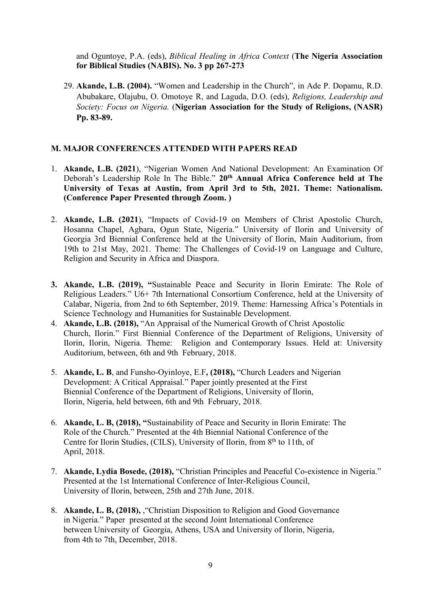and Oguntoye, P.A. (eds), *Biblical Healing in Africa Context* (**The Nigeria Association for Biblical Studies (NABIS). No. 3 pp 267-273**

29. **Akande, L.B. (2004).** "Women and Leadership in the Church", in Ade P. Dopamu, R.D. Abubakare, Olajubu, O. Omotoye R, and Laguda, D.O. (eds), *Religions, Leadership and Society: Focus on Nigeria.* (**Nigerian Association for the Study of Religions, (NASR) Pp. 83-89.**

## **M. MAJOR CONFERENCES ATTENDED WITH PAPERS READ**

- 1. **Akande, L.B. (2021**), "Nigerian Women And National Development: An Examination Of Deborah's Leadership Role In The Bible." **20 th Annual Africa Conference held at The University of Texas at Austin, from April 3rd to 5th, 2021. Theme: Nationalism. (Conference Paper Presented through Zoom. )**
- 2. **Akande, L.B. (2021**), "Impacts of Covid-19 on Members of Christ Apostolic Church, Hosanna Chapel, Agbara, Ogun State, Nigeria." University of Ilorin and University of Georgia 3rd Biennial Conference held at the University of Ilorin, Main Auditorium, from 19th to 21st May, 2021. Theme: The Challenges of Covid-19 on Language and Culture, Religion and Security in Africa and Diaspora.
- **3. Akande, L.B. (2019), "**Sustainable Peace and Security in Ilorin Emirate: The Role of Religious Leaders." U6+ 7th International Consortium Conference, held at the University of Calabar, Nigeria, from 2nd to 6th September, 2019. Theme: Harnessing Africa's Potentials in Science Technology and Humanities for Sustainable Development.
- 4. **Akande, L.B. (2018),** "An Appraisal of the Numerical Growth of Christ Apostolic Church, Ilorin." First Biennial Conference of the Department of Religions, University of Ilorin, Ilorin, Nigeria. Theme: Religion and Contemporary Issues. Held at: University Auditorium, between, 6th and 9th February, 2018.
- 5. **Akande, L. B**, and Funsho-Oyinloye, E.F**, (2018),** "Church Leaders and Nigerian Development: A Critical Appraisal." Paper jointly presented at the First Biennial Conference of the Department of Religions, University of Ilorin, Ilorin, Nigeria, held between, 6th and 9th February, 2018.
- 6. **Akande, L. B, (2018), "**Sustainability of Peace and Security in Ilorin Emirate: The Role of the Church." Presented at the 4th Biennial National Conference of the Centre for Ilorin Studies, (CILS), University of Ilorin, from 8<sup>th</sup> to 11th, of April, 2018.
- 7. **Akande, Lydia Bosede, (2018),** "Christian Principles and Peaceful Co-existence in Nigeria." Presented at the 1st International Conference of Inter-Religious Council, University of Ilorin, between, 25th and 27th June, 2018.
- 8. **Akande, L. B, (2018),** ,"Christian Disposition to Religion and Good Governance in Nigeria." Paper presented at the second Joint International Conference between University of Georgia, Athens, USA and University of Ilorin, Nigeria, from 4th to 7th, December, 2018.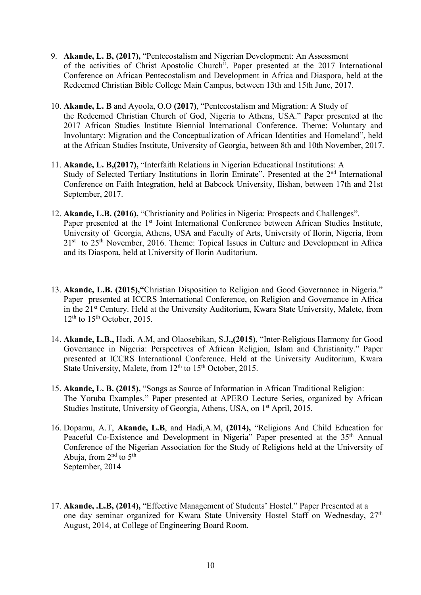- 9. **Akande, L. B, (2017),** "Pentecostalism and Nigerian Development: An Assessment of the activities of Christ Apostolic Church". Paper presented at the 2017 International Conference on African Pentecostalism and Development in Africa and Diaspora, held at the Redeemed Christian Bible College Main Campus, between 13th and 15th June, 2017.
- 10. **Akande, L. B** and Ayoola, O.O **(2017)**, "Pentecostalism and Migration: A Study of the Redeemed Christian Church of God, Nigeria to Athens, USA." Paper presented at the 2017 African Studies Institute Biennial International Conference. Theme: Voluntary and Involuntary: Migration and the Conceptualization of African Identities and Homeland", held at the African Studies Institute, University of Georgia, between 8th and 10th November, 2017.
- 11. **Akande, L. B,(2017),** "Interfaith Relations in Nigerian Educational Institutions: A Study of Selected Tertiary Institutions in Ilorin Emirate". Presented at the 2<sup>nd</sup> International Conference on Faith Integration, held at Babcock University, Ilishan, between 17th and 21st September, 2017.
- 12. **Akande, L.B. (2016),** "Christianity and Politics in Nigeria: Prospects and Challenges". Paper presented at the 1<sup>st</sup> Joint International Conference between African Studies Institute, University of Georgia, Athens, USA and Faculty of Arts, University of Ilorin, Nigeria, from 21<sup>st</sup> to 25<sup>th</sup> November, 2016. Theme: Topical Issues in Culture and Development in Africa and its Diaspora, held at University of Ilorin Auditorium.
- 13. **Akande, L.B. (2015),"**Christian Disposition to Religion and Good Governance in Nigeria." Paper presented at ICCRS International Conference, on Religion and Governance in Africa in the 21<sup>st</sup> Century. Held at the University Auditorium, Kwara State University, Malete, from  $12<sup>th</sup>$  to  $15<sup>th</sup>$  October, 2015.
- 14. **Akande, L.B.,** Hadi, A.M, and Olaosebikan, S.J**.,(2015)**, "Inter-Religious Harmony for Good Governance in Nigeria: Perspectives of African Religion, Islam and Christianity." Paper presented at ICCRS International Conference. Held at the University Auditorium, Kwara State University, Malete, from 12<sup>th</sup> to 15<sup>th</sup> October, 2015.
- 15. **Akande, L. B. (2015),** "Songs as Source of Information in African Traditional Religion: The Yoruba Examples." Paper presented at APERO Lecture Series, organized by African Studies Institute, University of Georgia, Athens, USA, on 1<sup>st</sup> April, 2015.
- 16. Dopamu, A.T, **Akande, L.B**, and Hadi,A.M,**(2014),** "Religions And Child Education for Peaceful Co-Existence and Development in Nigeria" Paper presented at the 35<sup>th</sup> Annual Conference of the Nigerian Association for the Study of Religions held at the University of Abuja, from  $2<sup>nd</sup>$  to  $5<sup>th</sup>$ September, 2014
- 17. **Akande, .L.B, (2014),** "Effective Management of Students' Hostel." Paper Presented at a one day seminar organized for Kwara State University Hostel Staff on Wednesday, 27 th August, 2014, at College of Engineering Board Room.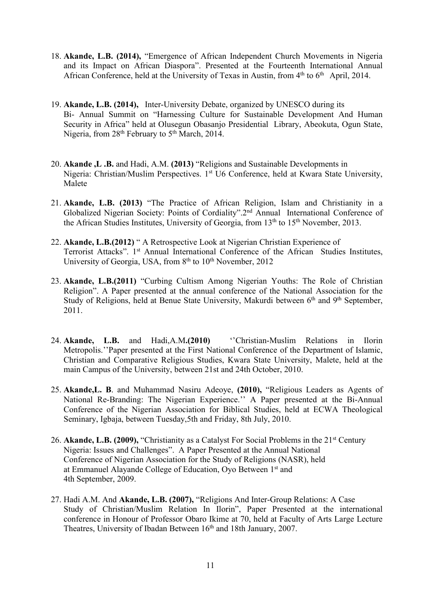- 18. **Akande, L.B. (2014),** "Emergence of African Independent Church Movements in Nigeria and its Impact on African Diaspora". Presented at the Fourteenth International Annual African Conference, held at the University of Texas in Austin, from 4<sup>th</sup> to 6<sup>th</sup> April, 2014.
- 19. **Akande, L.B. (2014),** Inter-University Debate, organized by UNESCO during its Bi- Annual Summit on "Harnessing Culture for Sustainable Development And Human Security in Africa" held at Olusegun Obasanjo Presidential Library, Abeokuta, Ogun State, Nigeria, from 28<sup>th</sup> February to 5<sup>th</sup> March, 2014.
- 20. **Akande ,L .B.** and Hadi, A.M.**(2013)** "Religions and Sustainable Developments in Nigeria: Christian/Muslim Perspectives. 1st U6 Conference, held at Kwara State University, Malete
- 21. **Akande, L.B. (2013)** "The Practice of African Religion, Islam and Christianity in a Globalized Nigerian Society: Points of Cordiality".2<sup>nd</sup> Annual International Conference of the African Studies Institutes, University of Georgia, from 13<sup>th</sup> to 15<sup>th</sup> November, 2013.
- 22. **Akande, L.B.(2012)** " A Retrospective Look at Nigerian Christian Experience of Terrorist Attacks". 1<sup>st</sup> Annual International Conference of the African Studies Institutes, University of Georgia, USA, from 8<sup>th</sup> to 10<sup>th</sup> November, 2012
- 23. **Akande, L.B.(2011)** "Curbing Cultism Among Nigerian Youths: The Role of Christian Religion". A Paper presented at the annual conference of the National Association for the Study of Religions, held at Benue State University, Makurdi between 6<sup>th</sup> and 9<sup>th</sup> September, 2011.
- 24. **Akande, L.B.** and Hadi,A.M**.(2010)** ''Christian-Muslim Relations in Ilorin Metropolis.''Paper presented at the First National Conference of the Department of Islamic, Christian and Comparative Religious Studies, Kwara State University, Malete, held at the main Campus of the University, between 21st and 24th October, 2010.
- 25. **Akande,L. B**. and Muhammad Nasiru Adeoye, **(2010),** "Religious Leaders as Agents of National Re-Branding: The Nigerian Experience.'' A Paper presented at the Bi-Annual Conference of the Nigerian Association for Biblical Studies, held at ECWA Theological Seminary, Igbaja, between Tuesday,5th and Friday, 8th July, 2010.
- 26. Akande, L.B. (2009), "Christianity as a Catalyst For Social Problems in the 21<sup>st</sup> Century Nigeria: Issues and Challenges". A Paper Presented at the Annual National Conference of Nigerian Association for the Study of Religions (NASR), held at Emmanuel Alayande College of Education, Oyo Between 1 st and 4th September, 2009.
- 27. Hadi A.M. And **Akande, L.B. (2007),** "Religions And Inter-Group Relations:A Case Study of Christian/Muslim Relation In Ilorin", Paper Presented at the international conference in Honour of Professor Obaro Ikime at 70, held at Faculty of Arts Large Lecture Theatres, University of Ibadan Between 16<sup>th</sup> and 18th January, 2007.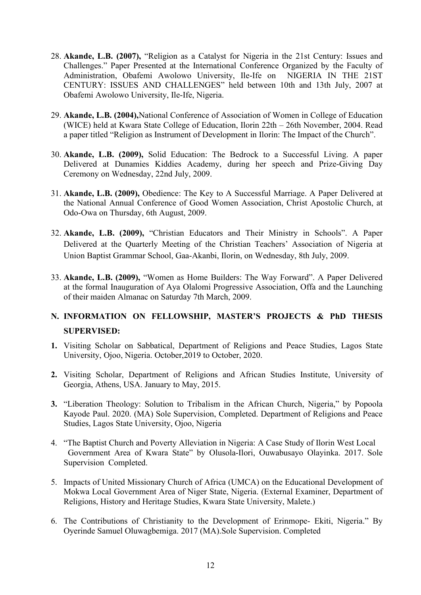- 28. **Akande, L.B. (2007),** "Religion as a Catalyst for Nigeria in the 21st Century: Issues and Challenges." Paper Presented at the International Conference Organized by the Faculty of Administration, Obafemi Awolowo University, Ile-Ife on NIGERIA IN THE 21ST CENTURY: ISSUES AND CHALLENGES" held between 10th and 13th July, 2007 at Obafemi Awolowo University, Ile-Ife, Nigeria.
- 29. **Akande, L.B. (2004),**National Conference of Association of Women in College of Education (WICE) held at Kwara State College of Education, Ilorin 22th – 26th November, 2004. Read a paper titled "Religion as Instrument of Development in Ilorin: The Impact of the Church".
- 30. **Akande, L.B. (2009),** Solid Education: The Bedrock to a Successful Living. A paper Delivered at Dunamies Kiddies Academy, during her speech and Prize-Giving Day Ceremony on Wednesday, 22nd July, 2009.
- 31. **Akande, L.B. (2009),** Obedience: The Key to A Successful Marriage. A Paper Delivered at the National Annual Conference of Good Women Association, Christ Apostolic Church, at Odo-Owa on Thursday, 6th August, 2009.
- 32. **Akande, L.B. (2009),** "Christian Educators and Their Ministry in Schools". A Paper Delivered at the Quarterly Meeting of the Christian Teachers' Association of Nigeria at Union Baptist Grammar School, Gaa-Akanbi, Ilorin, on Wednesday, 8th July, 2009.
- 33. **Akande, L.B. (2009),** "Women as Home Builders: The Way Forward". A Paper Delivered at the formal Inauguration of Aya Olalomi Progressive Association, Offa and the Launching of their maiden Almanac on Saturday 7th March, 2009.

# **N. INFORMATION ON FELLOWSHIP, MASTER'S PROJECTS & PhD THESIS SUPERVISED:**

- 1. Visiting Scholar on Sabbatical, Department of Religions and Peace Studies, Lagos State University, Ojoo, Nigeria. October,2019 to October,2020.
- **2.** Visiting Scholar, Department of Religions and African Studies Institute, University of Georgia, Athens, USA. January to May, 2015.
- **3.** "Liberation Theology: Solution to Tribalism in the African Church, Nigeria," by Popoola Kayode Paul. 2020. (MA) Sole Supervision, Completed. Department of Religions and Peace Studies, Lagos State University, Ojoo, Nigeria
- 4. "The Baptist Church and Poverty Alleviation in Nigeria: A Case Study of Ilorin West Local Government Area of Kwara State" by Olusola-Ilori, Ouwabusayo Olayinka. 2017. Sole Supervision Completed.
- 5. Impacts of United Missionary Church of Africa (UMCA) on the Educational Development of Mokwa Local Government Area of Niger State, Nigeria. (External Examiner, Department of Religions, History and Heritage Studies, Kwara State University, Malete.)
- 6. The Contributions of Christianity to the Development of Erinmope- Ekiti, Nigeria." By Oyerinde Samuel Oluwagbemiga. 2017 (MA).Sole Supervision. Completed